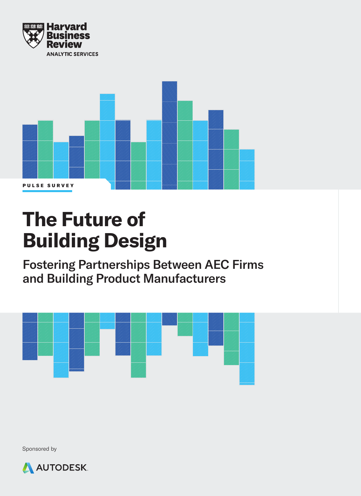



## **The Future of Building Design**

Fostering Partnerships Between AEC Firms and Building Product Manufacturers



Sponsored by

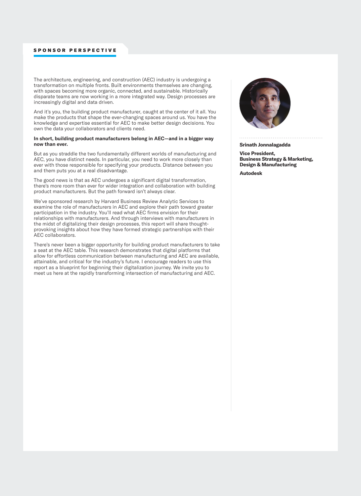#### SPONSOR PERSPECTIVE

The architecture, engineering, and construction (AEC) industry is undergoing a transformation on multiple fronts. Built environments themselves are changing, with spaces becoming more organic, connected, and sustainable. Historically disparate teams are now working in a more integrated way. Design processes are increasingly digital and data driven.

And it's you, the building product manufacturer, caught at the center of it all. You make the products that shape the ever-changing spaces around us. You have the knowledge and expertise essential for AEC to make better design decisions. You own the data your collaborators and clients need.

#### **In short, building product manufacturers belong in AEC—and in a bigger way now than ever.**

But as you straddle the two fundamentally different worlds of manufacturing and AEC, you have distinct needs. In particular, you need to work more closely than ever with those responsible for specifying your products. Distance between you and them puts you at a real disadvantage.

The good news is that as AEC undergoes a significant digital transformation, there's more room than ever for wider integration and collaboration with building product manufacturers. But the path forward isn't always clear.

We've sponsored research by Harvard Business Review Analytic Services to examine the role of manufacturers in AEC and explore their path toward greater participation in the industry. You'll read what AEC firms envision for their relationships with manufacturers. And through interviews with manufacturers in the midst of digitalizing their design processes, this report will share thoughtprovoking insights about how they have formed strategic partnerships with their AEC collaborators.

There's never been a bigger opportunity for building product manufacturers to take a seat at the AEC table. This research demonstrates that digital platforms that allow for effortless communication between manufacturing and AEC are available, attainable, and critical for the industry's future. I encourage readers to use this report as a blueprint for beginning their digitalization journey. We invite you to meet us here at the rapidly transforming intersection of manufacturing and AEC.



**Srinath Jonnalagadda**

**Vice President, Business Strategy & Marketing, Design & Manufacturing** 

**Autodesk**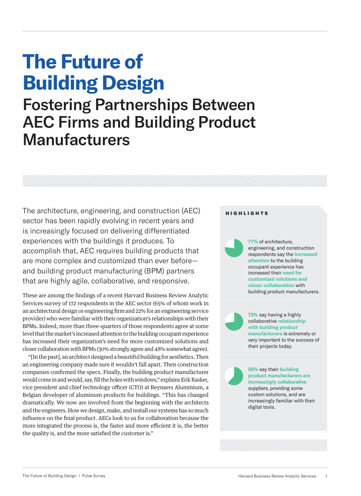# **The Future of Building Design**

### Fostering Partnerships Between AEC Firms and Building Product **Manufacturers**

The architecture, engineering, and construction (AEC) sector has been rapidly evolving in recent years and is increasingly focused on delivering differentiated experiences with the buildings it produces. To accomplish that, AEC requires building products that are more complex and customized than ever before and building product manufacturing (BPM) partners that are highly agile, collaborative, and responsive.

These are among the findings of a recent Harvard Business Review Analytic Services survey of 172 respondents in the AEC sector (65% of whom work in an architectural design or engineering firm and 22% for an engineering service provider) who were familiar with their organization's relationships with their BPMs. Indeed, more than three-quarters of those respondents agree at some level that the market's increased attention to the building occupant experience has increased their organization's need for more customized solutions and closer collaboration with BPMs (30% strongly agree and 48% somewhat agree).

"[In the past], an architect designed a beautiful building for aesthetics. Then an engineering company made sure it wouldn't fall apart. Then construction companies confirmed the specs. Finally, the building product manufacturer would come in and would, say, fill the holes with windows," explains Erik Rasker, vice president and chief technology officer (CTO) at Reynaers Aluminium, a Belgian developer of aluminum products for buildings. "This has changed dramatically. We now are involved from the beginning with the architects and the engineers. How we design, make, and install our systems has so much influence on the final product. AECs look to us for collaboration because the more integrated the process is, the faster and more efficient it is, the better the quality is, and the more satisfied the customer is."

#### HIGHLIGHTS

**77%** of architecture, engineering, and construction respondents say the **increased attention** to the building occupant experience has increased their **need for customized solutions and closer collaboration** with



**73%** say having a highly collaborative **relationship with building product manufacturers** is extremely or very important to the success of their projects today.

building product manufacturers.

**56%** say their **building product manufacturers are increasingly collaborative** suppliers, providing some custom solutions, and are increasingly familiar with their digital tools.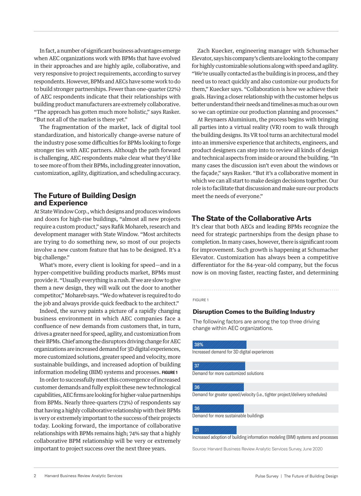In fact, a number of significant business advantages emerge when AEC organizations work with BPMs that have evolved in their approaches and are highly agile, collaborative, and very responsive to project requirements, according to survey respondents. However, BPMs and AECs have some work to do to build stronger partnerships. Fewer than one-quarter (22%) of AEC respondents indicate that their relationships with building product manufacturers are extremely collaborative. "The approach has gotten much more holistic," says Rasker. "But not all of the market is there yet."

The fragmentation of the market, lack of digital tool standardization, and historically change-averse nature of the industry pose some difficulties for BPMs looking to forge stronger ties with AEC partners. Although the path forward is challenging, AEC respondents make clear what they'd like to see more of from their BPMs, including greater innovation, customization, agility, digitization, and scheduling accuracy.

#### **The Future of Building Design and Experience**

At State Window Corp., which designs and produces windows and doors for high-rise buildings, "almost all new projects require a custom product," says Rafik Mohareb, research and development manager with State Window. "Most architects are trying to do something new, so most of our projects involve a new custom feature that has to be designed. It's a big challenge."

What's more, every client is looking for speed—and in a hyper-competitive building products market, BPMs must provide it. "Usually everything is a rush. If we are slow to give them a new design, they will walk out the door to another competitor," Mohareb says. "We do whatever is required to do the job and always provide quick feedback to the architect."

Indeed, the survey paints a picture of a rapidly changing business environment in which AEC companies face a confluence of new demands from customers that, in turn, drives a greater need for speed, agility, and customization from their BPMs. Chief among the disruptors driving change for AEC organizations are increased demand for 3D digital experiences, more customized solutions, greater speed and velocity, more sustainable buildings, and increased adoption of building information modeling (BIM) systems and processes. **FIGURE 1**

In order to successfully meet this convergence of increased customer demands and fully exploit these new technological capabilities, AEC firms are looking for higher-value partnerships from BPMs. Nearly three-quarters (73%) of respondents say that having a highly collaborative relationship with their BPMs is very or extremely important to the success of their projects today. Looking forward, the importance of collaborative relationships with BPMs remains high; 74% say that a highly collaborative BPM relationship will be very or extremely important to project success over the next three years.

Zach Kuecker, engineering manager with Schumacher Elevator, says his company's clients are looking to the company for highly customizable solutions along with speed and agility. "We're usually contacted as the building is in process, and they need us to react quickly and also customize our products for them," Kuecker says. "Collaboration is how we achieve their goals. Having a closer relationship with the customer helps us better understand their needs and timelines as much as our own so we can optimize our production planning and processes."

At Reynaers Aluminium, the process begins with bringing all parties into a virtual reality (VR) room to walk through the building designs. Its VR tool turns an architectural model into an immersive experience that architects, engineers, and product designers can step into to review all kinds of design and technical aspects from inside or around the building. "In many cases the discussion isn't even about the windows or the façade," says Rasker. "But it's a collaborative moment in which we can all start to make design decisions together. Our role is to facilitate that discussion and make sure our products meet the needs of everyone."

#### **The State of the Collaborative Arts**

It's clear that both AECs and leading BPMs recognize the need for strategic partnerships from the design phase to completion. In many cases, however, there is significant room for improvement. Such growth is happening at Schumacher Elevator. Customization has always been a competitive differentiator for the 84-year-old company, but the focus now is on moving faster, reacting faster, and determining

#### FIGURE 1

#### **Disruption Comes to the Building Industry**

The following factors are among the top three driving change within AEC organizations.

#### 38%

Increased demand for 3D digital experiences

#### 37

Demand for more customized solutions

#### 36

Demand for greater speed/velocity (i.e., tighter project/delivery schedules)

#### 36

Demand for more sustainable buildings

#### 31

Increased adoption of building information modeling (BIM) systems and processes

Source: Harvard Business Review Analytic Services Survey, June 2020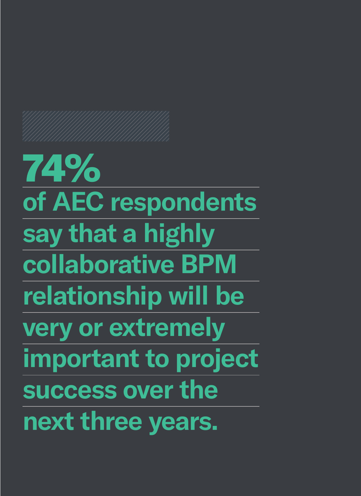74% **of AEC respondents say that a highly collaborative BPM relationship will be very or extremely important to project success over the next three years.**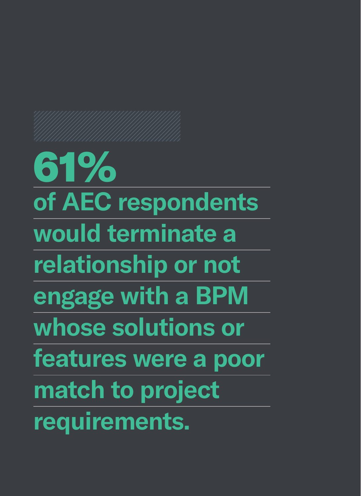61% **of AEC respondents would terminate a relationship or not engage with a BPM whose solutions or features were a poor match to project requirements.**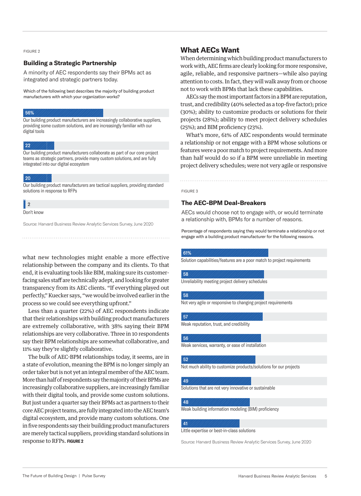#### FIGURE 2

#### **Building a Strategic Partnership**

A minority of AEC respondents say their BPMs act as integrated and strategic partners today.

Which of the following best describes the majority of building product manufacturers with which your organization works?

#### 56%

Our building product manufacturers are increasingly collaborative suppliers, providing some custom solutions, and are increasingly familiar with our digital tools

#### 22

Our building product manufacturers collaborate as part of our core project teams as strategic partners, provide many custom solutions, and are fully integrated into our digital ecosystem

#### 20

Our building product manufacturers are tactical suppliers, providing standard solutions in response to RFPs

### 2 |

Don't know

Source: Harvard Business Review Analytic Services Survey, June 2020

what new technologies might enable a more effective relationship between the company and its clients. To that end, it is evaluating tools like BIM, making sure its customerfacing sales staff are technically adept, and looking for greater transparency from its AEC clients. "If everything played out perfectly," Kuecker says, "we would be involved earlier in the process so we could see everything upfront."

Less than a quarter (22%) of AEC respondents indicate that their relationships with building product manufacturers are extremely collaborative, with 38% saying their BPM relationships are very collaborative. Three in 10 respondents say their BPM relationships are somewhat collaborative, and 11% say they're slightly collaborative.

The bulk of AEC-BPM relationships today, it seems, are in a state of evolution, meaning the BPM is no longer simply an order taker but is not yet an integral member of the AEC team. More than half of respondents say the majority of their BPMs are increasingly collaborative suppliers, are increasingly familiar with their digital tools, and provide some custom solutions. But just under a quarter say their BPMs act as partners to their core AEC project teams, are fully integrated into the AEC team's digital ecosystem, and provide many custom solutions. One in five respondents say their building product manufacturers are merely tactical suppliers, providing standard solutions in response to RFPs. **FIGURE 2**

#### **What AECs Want**

When determining which building product manufacturers to work with, AEC firms are clearly looking for more responsive, agile, reliable, and responsive partners—while also paying attention to costs. In fact, they will walk away from or choose not to work with BPMs that lack these capabilities.

AECs say the most important factors in a BPM are reputation, trust, and credibility (40% selected as a top-five factor); price (30%); ability to customize products or solutions for their projects (28%); ability to meet project delivery schedules (25%); and BIM proficiency (23%).

What's more, 61% of AEC respondents would terminate a relationship or not engage with a BPM whose solutions or features were a poor match to project requirements. And more than half would do so if a BPM were unreliable in meeting project delivery schedules; were not very agile or responsive

### FIGURE 3

#### **The AEC-BPM Deal-Breakers**

AECs would choose not to engage with, or would terminate a relationship with, BPMs for a number of reasons.

Percentage of respondents saying they would terminate a relationship or not engage with a building product manufacturer for the following reasons.

#### 61%

58

Solution capabilities/features are a poor match to project requirements

Unreliability meeting project delivery schedules

#### 58

Not very agile or responsive to changing project requirements

#### 57

Weak reputation, trust, and credibility

#### 56

Weak services, warranty, or ease of installation

#### 52

Not much ability to customize products/solutions for our projects

#### 49

Solutions that are not very innovative or sustainable

#### 48

Weak building information modeling (BIM) proficiency

#### 41

Little expertise or best-in-class solutions

Source: Harvard Business Review Analytic Services Survey, June 2020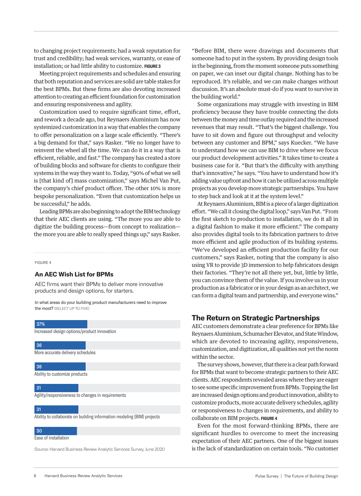to changing project requirements; had a weak reputation for trust and credibility; had weak services, warranty, or ease of installation; or had little ability to customize. **FIGURE 3**

Meeting project requirements and schedules and ensuring that both reputation and services are solid are table stakes for the best BPMs. But these firms are also devoting increased attention to creating an efficient foundation for customization and ensuring responsiveness and agility.

Customization used to require significant time, effort, and rework a decade ago, but Reynaers Aluminium has now systemized customization in a way that enables the company to offer personalization on a large scale efficiently. "There's a big demand for that," says Rasker. "We no longer have to reinvent the wheel all the time. We can do it in a way that is efficient, reliable, and fast." The company has created a store of building blocks and software for clients to configure their systems in the way they want to. Today, "90% of what we sell is [that kind of] mass customization," says Michel Van Put, the company's chief product officer. The other 10% is more bespoke personalization. "Even that customization helps us be successful," he adds.

Leading BPMs are also beginning to adopt the BIM technology that their AEC clients are using. "The more you are able to digitize the building process—from concept to realization the more you are able to really speed things up," says Rasker.

#### FIGURE 4

#### **An AEC Wish List for BPMs**

AEC firms want their BPMs to deliver more innovative products and design options, for starters.

In what areas do your building product manufacturers need to improve the most? (SELECT UP TO FIVE)

Increased design options/product innovation More accurate delivery schedules Ability to customize products Agility/responsiveness to changes in requirements Ability to collaborate on building information modeling (BIM) projects 37% 36 36 31 31

#### 30

Ease of installation

Source: Harvard Business Review Analytic Services Survey, June 2020

"Before BIM, there were drawings and documents that someone had to put in the system. By providing design tools in the beginning, from the moment someone puts something on paper, we can inset our digital change. Nothing has to be reproduced. It's reliable, and we can make changes without discussion. It's an absolute must-do if you want to survive in the building world."

Some organizations may struggle with investing in BIM proficiency because they have trouble connecting the dots between the money and time outlay required and the increased revenues that may result. "That's the biggest challenge. You have to sit down and figure out throughput and velocity between any customer and BPM," says Kuecker. "We have to understand how we can use BIM to drive where we focus our product development activities." It takes time to create a business case for it. "But that's the difficulty with anything that's innovative," he says. "You have to understand how it's adding value upfront and how it can be utilized across multiple projects as you develop more strategic partnerships. You have to step back and look at it at the system level."

At Reynaers Aluminium, BIM is a piece of a larger digitization effort. "We call it closing the digital loop," says Van Put. "From the first sketch to production to installation, we do it all in a digital fashion to make it more efficient." The company also provides digital tools to its fabrication partners to drive more efficient and agile production of its building systems. "We've developed an efficient production facility for our customers," says Rasker, noting that the company is also using VR to provide 3D immersion to help fabricators design their factories. "They're not all there yet, but, little by little, you can convince them of the value. If you involve us in your production as a fabricator or in your design as an architect, we can form a digital team and partnership, and everyone wins."

#### **The Return on Strategic Partnerships**

AEC customers demonstrate a clear preference for BPMs like Reynaers Aluminium, Schumacher Elevator, and State Window, which are devoted to increasing agility, responsiveness, customization, and digitization, all qualities not yet the norm within the sector.

The survey shows, however, that there is a clear path forward for BPMs that want to become strategic partners to their AEC clients. AEC respondents revealed areas where they are eager to see some specific improvement from BPMs. Topping the list are increased design options and product innovation, ability to customize products, more accurate delivery schedules, agility or responsiveness to changes in requirements, and ability to collaborate on BIM projects. **FIGURE 4**

Even for the most forward-thinking BPMs, there are significant hurdles to overcome to meet the increasing expectation of their AEC partners. One of the biggest issues is the lack of standardization on certain tools. "No customer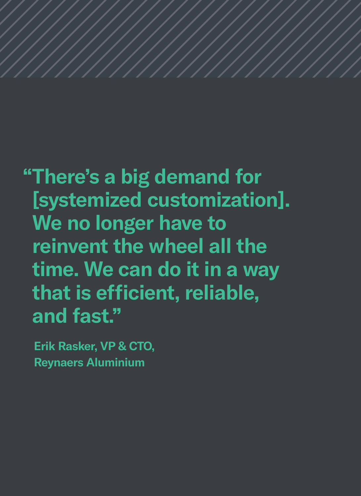**"There's a big demand for [systemized customization]. We no longer have to reinvent the wheel all the time. We can do it in a way that is efficient, reliable, and fast."**

**Erik Rasker, VP & CTO, Reynaers Aluminium**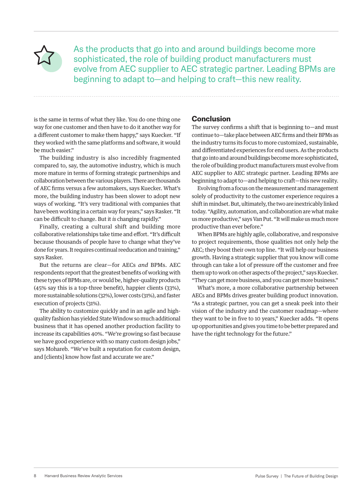As the products that go into and around buildings become more sophisticated, the role of building product manufacturers must evolve from AEC supplier to AEC strategic partner. Leading BPMs are beginning to adapt to—and helping to craft—this new reality.

is the same in terms of what they like. You do one thing one way for one customer and then have to do it another way for a different customer to make them happy," says Kuecker. "If they worked with the same platforms and software, it would be much easier."

The building industry is also incredibly fragmented compared to, say, the automotive industry, which is much more mature in terms of forming strategic partnerships and collaboration between the various players. There are thousands of AEC firms versus a few automakers, says Kuecker. What's more, the building industry has been slower to adopt new ways of working. "It's very traditional with companies that have been working in a certain way for years," says Rasker. "It can be difficult to change. But it *is* changing rapidly."

Finally, creating a cultural shift and building more collaborative relationships take time and effort. "It's difficult because thousands of people have to change what they've done for years. It requires continual reeducation and training," says Rasker.

But the returns are clear—for AECs *and* BPMs. AEC respondents report that the greatest benefits of working with these types of BPMs are, or would be, higher-quality products (45% say this is a top-three benefit), happier clients (33%), more sustainable solutions (32%), lower costs (31%), and faster execution of projects (31%).

The ability to customize quickly and in an agile and highquality fashion has yielded State Window so much additional business that it has opened another production facility to increase its capabilities 40%. "We're growing so fast because we have good experience with so many custom design jobs," says Mohareb. "We've built a reputation for custom design, and [clients] know how fast and accurate we are."

#### **Conclusion**

The survey confirms a shift that is beginning to—and must continue to—take place between AEC firms and their BPMs as the industry turns its focus to more customized, sustainable, and differentiated experiences for end users. As the products that go into and around buildings become more sophisticated, the role of building product manufacturers must evolve from AEC supplier to AEC strategic partner. Leading BPMs are beginning to adapt to—and helping to craft—this new reality.

Evolving from a focus on the measurement and management solely of productivity to the customer experience requires a shift in mindset. But, ultimately, the two are inextricably linked today. "Agility, automation, and collaboration are what make us more productive," says Van Put. "It will make us much more productive than ever before."

When BPMs are highly agile, collaborative, and responsive to project requirements, those qualities not only help the AEC; they boost their own top line. "It will help our business growth. Having a strategic supplier that you know will come through can take a lot of pressure off the customer and free them up to work on other aspects of the project," says Kuecker. "They can get more business, and you can get more business."

What's more, a more collaborative partnership between AECs and BPMs drives greater building product innovation. "As a strategic partner, you can get a sneak peek into their vision of the industry and the customer roadmap—where they want to be in five to 10 years," Kuecker adds. "It opens up opportunities and gives you time to be better prepared and have the right technology for the future."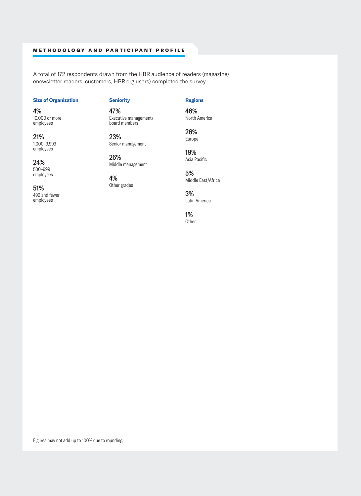#### METHODOLOGY AND PARTICIPANT PROFILE

A total of 172 respondents drawn from the HBR audience of readers (magazine/ enewsletter readers, customers, HBR.org users) completed the survey.

#### **Size of Organization**

4% 10,000 or more employees

21% 1,000–9,999 employees

24% 500–999 employees

51% 499 and fewer employees

**Seniority** 47%

Executive management/ board members

23% Senior management

26% Middle management

4% Other grades

3% Latin America

Middle East/Africa

**Regions** 46% North America

26% Europe

19% Asia Pacific

5%

1% **Other** 

Figures may not add up to 100% due to rounding.